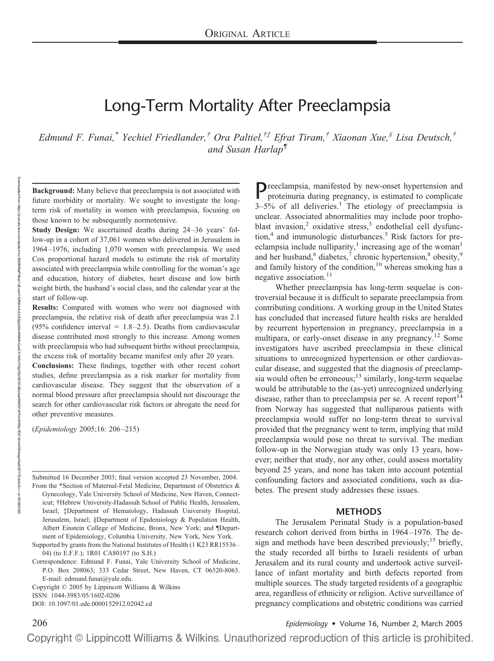# Long-Term Mortality After Preeclampsia

*Edmund F. Funai,\* Yechiel Friedlander,† Ora Paltiel,†‡ Efrat Tiram,† Xiaonan Xue,§ Lisa Deutsch,† and Susan Harlap¶*

**Background:** Many believe that preeclampsia is not associated with future morbidity or mortality. We sought to investigate the longterm risk of mortality in women with preeclampsia, focusing on those known to be subsequently normotensive.

**Study Design:** We ascertained deaths during 24–36 years' follow-up in a cohort of 37,061 women who delivered in Jerusalem in 1964–1976, including 1,070 women with preeclampsia. We used Cox proportional hazard models to estimate the risk of mortality associated with preeclampsia while controlling for the woman's age and education, history of diabetes, heart disease and low birth weight birth, the husband's social class, and the calendar year at the start of follow-up.

**Results:** Compared with women who were not diagnosed with preeclampsia, the relative risk of death after preeclampsia was 2.1 (95% confidence interval  $= 1.8 - 2.5$ ). Deaths from cardiovascular disease contributed most strongly to this increase. Among women with preeclampsia who had subsequent births without preeclampsia, the excess risk of mortality became manifest only after 20 years.

**Conclusions:** These findings, together with other recent cohort studies, define preeclampsia as a risk marker for mortality from cardiovascular disease. They suggest that the observation of a normal blood pressure after preeclampsia should not discourage the search for other cardiovascular risk factors or abrogate the need for other preventive measures.

(*Epidemiology* 2005;16: 206–215)

Submitted 16 December 2003; final version accepted 23 November, 2004.

From the \*Section of Maternal-Fetal Medicine, Department of Obstetrics & Gynecology, Yale University School of Medicine, New Haven, Connecticut; †Hebrew University-Hadassah School of Public Health, Jerusalem, Israel; ‡Department of Hematology, Hadassah University Hospital, Jerusalem, Israel; §Department of Epidemiology & Population Health, Albert Einstein College of Medicine, Bronx, New York; and ¶Department of Epidemiology, Columbia University, New York, New York.

Supported by grants from the National Institutes of Health (1 K23 RR15536– 04) (to E.F.F.); 1R01 CA80197 (to S.H.)

Correspondence: Edmund F. Funai, Yale University School of Medicine, P.O. Box 208063; 333 Cedar Street, New Haven, CT 06520-8063. E-mail: edmund.funai@yale.edu.

Copyright © 2005 by Lippincott Williams & Wilkins

ISSN: 1044-3983/05/1602-0206

DOI: 10.1097/01.ede.0000152912.02042.cd

Preeclampsia, manifested by new-onset hypertension and proteinuria during pregnancy, is estimated to complicate  $3-5%$  of all deliveries.<sup>1</sup> The etiology of preeclampsia is unclear. Associated abnormalities may include poor trophoblast invasion,<sup>2</sup> oxidative stress,<sup>3</sup> endothelial cell dysfunction, $4$  and immunologic disturbances.<sup>5</sup> Risk factors for preeclampsia include nulliparity,<sup>1</sup> increasing age of the woman<sup>1</sup> and her husband, $6$  diabetes, $7$  chronic hypertension, $8$  obesity, $9$ and family history of the condition,<sup>10</sup> whereas smoking has a negative association.<sup>11</sup>

Whether preeclampsia has long-term sequelae is controversial because it is difficult to separate preeclampsia from contributing conditions. A working group in the United States has concluded that increased future health risks are heralded by recurrent hypertension in pregnancy, preeclampsia in a multipara, or early-onset disease in any pregnancy.<sup>12</sup> Some investigators have ascribed preeclampsia in these clinical situations to unrecognized hypertension or other cardiovascular disease, and suggested that the diagnosis of preeclampsia would often be erroneous;<sup>13</sup> similarly, long-term sequelae would be attributable to the (as-yet) unrecognized underlying disease, rather than to preeclampsia per se. A recent report<sup>14</sup> from Norway has suggested that nulliparous patients with preeclampsia would suffer no long-term threat to survival provided that the pregnancy went to term, implying that mild preeclampsia would pose no threat to survival. The median follow-up in the Norwegian study was only 13 years, however; neither that study, nor any other, could assess mortality beyond 25 years, and none has taken into account potential confounding factors and associated conditions, such as diabetes. The present study addresses these issues.

#### **METHODS**

The Jerusalem Perinatal Study is a population-based research cohort derived from births in 1964–1976. The design and methods have been described previously;<sup>15</sup> briefly, the study recorded all births to Israeli residents of urban Jerusalem and its rural county and undertook active surveillance of infant mortality and birth defects reported from multiple sources. The study targeted residents of a geographic area, regardless of ethnicity or religion. Active surveillance of pregnancy complications and obstetric conditions was carried

206 *Epidemiology* • Volume 16, Number 2, March 2005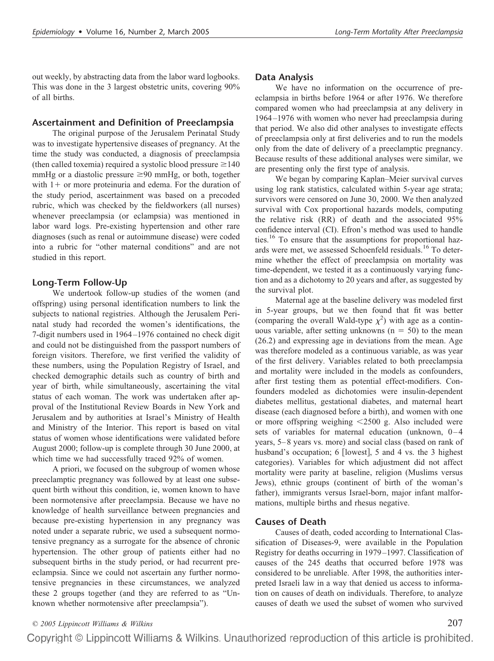out weekly, by abstracting data from the labor ward logbooks. This was done in the 3 largest obstetric units, covering 90% of all births.

#### **Ascertainment and Definition of Preeclampsia**

The original purpose of the Jerusalem Perinatal Study was to investigate hypertensive diseases of pregnancy. At the time the study was conducted, a diagnosis of preeclampsia (then called toxemia) required a systolic blood pressure  $\geq 140$ mmHg or a diastolic pressure  $\geq 90$  mmHg, or both, together with  $1+$  or more proteinuria and edema. For the duration of the study period, ascertainment was based on a precoded rubric, which was checked by the fieldworkers (all nurses) whenever preeclampsia (or eclampsia) was mentioned in labor ward logs. Pre-existing hypertension and other rare diagnoses (such as renal or autoimmune disease) were coded into a rubric for "other maternal conditions" and are not studied in this report.

#### **Long-Term Follow-Up**

We undertook follow-up studies of the women (and offspring) using personal identification numbers to link the subjects to national registries. Although the Jerusalem Perinatal study had recorded the women's identifications, the 7-digit numbers used in 1964–1976 contained no check digit and could not be distinguished from the passport numbers of foreign visitors. Therefore, we first verified the validity of these numbers, using the Population Registry of Israel, and checked demographic details such as country of birth and year of birth, while simultaneously, ascertaining the vital status of each woman. The work was undertaken after approval of the Institutional Review Boards in New York and Jerusalem and by authorities at Israel's Ministry of Health and Ministry of the Interior. This report is based on vital status of women whose identifications were validated before August 2000; follow-up is complete through 30 June 2000, at which time we had successfully traced 92% of women.

A priori, we focused on the subgroup of women whose preeclamptic pregnancy was followed by at least one subsequent birth without this condition, ie, women known to have been normotensive after preeclampsia. Because we have no knowledge of health surveillance between pregnancies and because pre-existing hypertension in any pregnancy was noted under a separate rubric, we used a subsequent normotensive pregnancy as a surrogate for the absence of chronic hypertension. The other group of patients either had no subsequent births in the study period, or had recurrent preeclampsia. Since we could not ascertain any further normotensive pregnancies in these circumstances, we analyzed these 2 groups together (and they are referred to as "Unknown whether normotensive after preeclampsia").

#### **Data Analysis**

We have no information on the occurrence of preeclampsia in births before 1964 or after 1976. We therefore compared women who had preeclampsia at any delivery in 1964–1976 with women who never had preeclampsia during that period. We also did other analyses to investigate effects of preeclampsia only at first deliveries and to run the models only from the date of delivery of a preeclamptic pregnancy. Because results of these additional analyses were similar, we are presenting only the first type of analysis.

We began by comparing Kaplan–Meier survival curves using log rank statistics, calculated within 5-year age strata; survivors were censored on June 30, 2000. We then analyzed survival with Cox proportional hazards models, computing the relative risk (RR) of death and the associated 95% confidence interval (CI). Efron's method was used to handle ties.<sup>16</sup> To ensure that the assumptions for proportional hazards were met, we assessed Schoenfeld residuals.<sup>16</sup> To determine whether the effect of preeclampsia on mortality was time-dependent, we tested it as a continuously varying function and as a dichotomy to 20 years and after, as suggested by the survival plot.

Maternal age at the baseline delivery was modeled first in 5-year groups, but we then found that fit was better (comparing the overall Wald-type  $\chi^2$ ) with age as a continuous variable, after setting unknowns  $(n = 50)$  to the mean (26.2) and expressing age in deviations from the mean. Age was therefore modeled as a continuous variable, as was year of the first delivery. Variables related to both preeclampsia and mortality were included in the models as confounders, after first testing them as potential effect-modifiers. Confounders modeled as dichotomies were insulin-dependent diabetes mellitus, gestational diabetes, and maternal heart disease (each diagnosed before a birth), and women with one or more offspring weighing 2500 g. Also included were sets of variables for maternal education (unknown, 0–4 years, 5–8 years vs. more) and social class (based on rank of husband's occupation; 6 [lowest], 5 and 4 vs. the 3 highest categories). Variables for which adjustment did not affect mortality were parity at baseline, religion (Muslims versus Jews), ethnic groups (continent of birth of the woman's father), immigrants versus Israel-born, major infant malformations, multiple births and rhesus negative.

## **Causes of Death**

Causes of death, coded according to International Classification of Diseases-9, were available in the Population Registry for deaths occurring in 1979–1997. Classification of causes of the 245 deaths that occurred before 1978 was considered to be unreliable. After 1998, the authorities interpreted Israeli law in a way that denied us access to information on causes of death on individuals. Therefore, to analyze causes of death we used the subset of women who survived

# *© 2005 Lippincott Williams & Wilkins* 207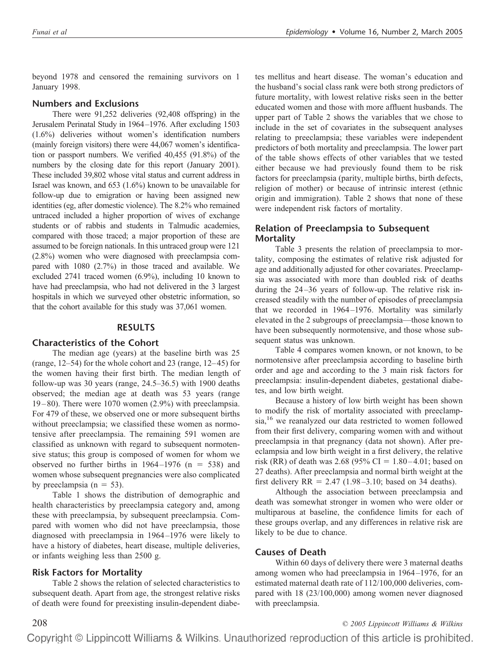beyond 1978 and censored the remaining survivors on 1 January 1998.

# **Numbers and Exclusions**

There were 91,252 deliveries (92,408 offspring) in the Jerusalem Perinatal Study in 1964–1976. After excluding 1503 (1.6%) deliveries without women's identification numbers (mainly foreign visitors) there were 44,067 women's identification or passport numbers. We verified 40,455 (91.8%) of the numbers by the closing date for this report (January 2001). These included 39,802 whose vital status and current address in Israel was known, and 653 (1.6%) known to be unavailable for follow-up due to emigration or having been assigned new identities (eg, after domestic violence). The 8.2% who remained untraced included a higher proportion of wives of exchange students or of rabbis and students in Talmudic academies, compared with those traced; a major proportion of these are assumed to be foreign nationals. In this untraced group were 121 (2.8%) women who were diagnosed with preeclampsia compared with 1080 (2.7%) in those traced and available. We excluded 2741 traced women (6.9%), including 10 known to have had preeclampsia, who had not delivered in the 3 largest hospitals in which we surveyed other obstetric information, so that the cohort available for this study was 37,061 women.

# **RESULTS**

## **Characteristics of the Cohort**

The median age (years) at the baseline birth was 25 (range, 12–54) for the whole cohort and 23 (range, 12–45) for the women having their first birth. The median length of follow-up was 30 years (range, 24.5–36.5) with 1900 deaths observed; the median age at death was 53 years (range  $19-80$ ). There were  $1070$  women  $(2.9%)$  with preeclampsia. For 479 of these, we observed one or more subsequent births without preeclampsia; we classified these women as normotensive after preeclampsia. The remaining 591 women are classified as unknown with regard to subsequent normotensive status; this group is composed of women for whom we observed no further births in  $1964-1976$  (n = 538) and women whose subsequent pregnancies were also complicated by preeclampsia ( $n = 53$ ).

Table 1 shows the distribution of demographic and health characteristics by preeclampsia category and, among these with preeclampsia, by subsequent preeclampsia. Compared with women who did not have preeclampsia, those diagnosed with preeclampsia in 1964–1976 were likely to have a history of diabetes, heart disease, multiple deliveries, or infants weighing less than 2500 g.

# **Risk Factors for Mortality**

Table 2 shows the relation of selected characteristics to subsequent death. Apart from age, the strongest relative risks of death were found for preexisting insulin-dependent diabetes mellitus and heart disease. The woman's education and the husband's social class rank were both strong predictors of future mortality, with lowest relative risks seen in the better educated women and those with more affluent husbands. The upper part of Table 2 shows the variables that we chose to include in the set of covariates in the subsequent analyses relating to preeclampsia; these variables were independent predictors of both mortality and preeclampsia. The lower part of the table shows effects of other variables that we tested either because we had previously found them to be risk factors for preeclampsia (parity, multiple births, birth defects, religion of mother) or because of intrinsic interest (ethnic origin and immigration). Table 2 shows that none of these were independent risk factors of mortality.

# **Relation of Preeclampsia to Subsequent Mortality**

Table 3 presents the relation of preeclampsia to mortality, composing the estimates of relative risk adjusted for age and additionally adjusted for other covariates. Preeclampsia was associated with more than doubled risk of deaths during the 24–36 years of follow-up. The relative risk increased steadily with the number of episodes of preeclampsia that we recorded in 1964–1976. Mortality was similarly elevated in the 2 subgroups of preeclampsia—those known to have been subsequently normotensive, and those whose subsequent status was unknown.

Table 4 compares women known, or not known, to be normotensive after preeclampsia according to baseline birth order and age and according to the 3 main risk factors for preeclampsia: insulin-dependent diabetes, gestational diabetes, and low birth weight.

Because a history of low birth weight has been shown to modify the risk of mortality associated with preeclampsia,<sup>16</sup> we reanalyzed our data restricted to women followed from their first delivery, comparing women with and without preeclampsia in that pregnancy (data not shown). After preeclampsia and low birth weight in a first delivery, the relative risk (RR) of death was 2.68 (95% CI =  $1.80-4.01$ ; based on 27 deaths). After preeclampsia and normal birth weight at the first delivery  $RR = 2.47$  (1.98–3.10; based on 34 deaths).

Although the association between preeclampsia and death was somewhat stronger in women who were older or multiparous at baseline, the confidence limits for each of these groups overlap, and any differences in relative risk are likely to be due to chance.

# **Causes of Death**

Within 60 days of delivery there were 3 maternal deaths among women who had preeclampsia in 1964–1976, for an estimated maternal death rate of 112/100,000 deliveries, compared with 18 (23/100,000) among women never diagnosed with preeclampsia.

208 *© 2005 Lippincott Williams & Wilkins*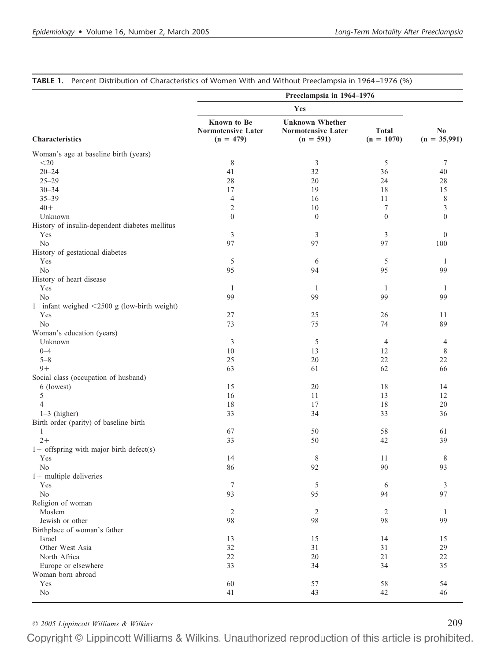|                                                   |                                                         | Preeclampsia in 1964-1976                                   |                              |                                          |
|---------------------------------------------------|---------------------------------------------------------|-------------------------------------------------------------|------------------------------|------------------------------------------|
|                                                   |                                                         | Yes                                                         |                              |                                          |
| <b>Characteristics</b>                            | Known to Be<br><b>Normotensive Later</b><br>$(n = 479)$ | <b>Unknown Whether</b><br>Normotensive Later<br>$(n = 591)$ | <b>Total</b><br>$(n = 1070)$ | $\mathbf{N}\mathbf{0}$<br>$(n = 35,991)$ |
| Woman's age at baseline birth (years)             |                                                         |                                                             |                              |                                          |
| $<$ 20                                            | 8                                                       | 3                                                           | 5                            | 7                                        |
| $20 - 24$                                         | 41                                                      | 32                                                          | 36                           | 40                                       |
| $25 - 29$                                         | 28                                                      | 20                                                          | 24                           | 28                                       |
| $30 - 34$                                         | 17                                                      | 19                                                          | 18                           | 15                                       |
| $35 - 39$                                         | $\overline{4}$                                          | 16                                                          | 11                           | 8                                        |
| $40+$                                             | 2                                                       | 10                                                          | 7                            | 3                                        |
| Unknown                                           | $\overline{0}$                                          | $\boldsymbol{0}$                                            | $\mathbf{0}$                 | $\mathbf{0}$                             |
| History of insulin-dependent diabetes mellitus    |                                                         |                                                             |                              |                                          |
| Yes                                               | 3                                                       | 3                                                           | 3                            | $\boldsymbol{0}$                         |
| No                                                | 97                                                      | 97                                                          | 97                           | 100                                      |
| History of gestational diabetes                   |                                                         |                                                             |                              |                                          |
| Yes                                               | 5                                                       | 6                                                           | 5                            | 1                                        |
| No                                                | 95                                                      | 94                                                          | 95                           | 99                                       |
| History of heart disease                          |                                                         |                                                             |                              |                                          |
| Yes                                               | -1                                                      | 1                                                           | 1                            | -1                                       |
| No                                                | 99                                                      | 99                                                          | 99                           | 99                                       |
| 1+infant weighed $\leq$ 2500 g (low-birth weight) |                                                         |                                                             |                              |                                          |
| Yes                                               | 27                                                      | 25                                                          | 26                           | 11                                       |
| No                                                | 73                                                      | 75                                                          | 74                           | 89                                       |
| Woman's education (years)                         |                                                         |                                                             |                              |                                          |
| Unknown                                           | 3                                                       | 5                                                           | 4                            |                                          |
| $0 - 4$                                           | 10                                                      | 13                                                          | 12                           | 4<br>8                                   |
|                                                   |                                                         |                                                             |                              |                                          |
| $5 - 8$<br>$9+$                                   | 25                                                      | 20                                                          | 22                           | 22<br>66                                 |
|                                                   | 63                                                      | 61                                                          | 62                           |                                          |
| Social class (occupation of husband)              |                                                         |                                                             |                              |                                          |
| 6 (lowest)                                        | 15                                                      | 20                                                          | 18                           | 14                                       |
| 5                                                 | 16                                                      | 11                                                          | 13                           | 12                                       |
| $\overline{4}$                                    | 18                                                      | 17                                                          | 18                           | 20                                       |
| $1-3$ (higher)                                    | 33                                                      | 34                                                          | 33                           | 36                                       |
| Birth order (parity) of baseline birth            |                                                         |                                                             |                              |                                          |
| 1                                                 | 67                                                      | 50                                                          | 58                           | 61                                       |
| $2+$                                              | 33                                                      | 50                                                          | 42                           | 39                                       |
| $1+$ offspring with major birth defect(s)         |                                                         |                                                             |                              |                                          |
| Yes                                               | 14                                                      | $\,$ 8 $\,$                                                 | 11                           | 8                                        |
| N <sub>0</sub>                                    | 86                                                      | 92                                                          | 90                           | 93                                       |
| $1+$ multiple deliveries                          |                                                         |                                                             |                              |                                          |
| Yes                                               | $\overline{7}$                                          | $\mathfrak s$                                               | 6                            | 3                                        |
| No                                                | 93                                                      | 95                                                          | 94                           | 97                                       |
| Religion of woman                                 |                                                         |                                                             |                              |                                          |
| Moslem                                            | $\overline{2}$                                          | $\overline{c}$                                              | 2                            | -1                                       |
| Jewish or other                                   | 98                                                      | 98                                                          | 98                           | 99                                       |
| Birthplace of woman's father                      |                                                         |                                                             |                              |                                          |
| Israel                                            | 13                                                      | 15                                                          | 14                           | 15                                       |
| Other West Asia                                   | 32                                                      | 31                                                          | 31                           | 29                                       |
| North Africa                                      | 22                                                      | $20\,$                                                      | $21\,$                       | $22\,$                                   |
| Europe or elsewhere                               | 33                                                      | 34                                                          | 34                           | 35                                       |
| Woman born abroad                                 |                                                         |                                                             |                              |                                          |
| Yes                                               | 60                                                      | 57                                                          | 58                           | 54                                       |
| $\rm No$                                          | 41                                                      | 43                                                          | $42\,$                       | 46                                       |
|                                                   |                                                         |                                                             |                              |                                          |

## **TABLE 1.** Percent Distribution of Characteristics of Women With and Without Preeclampsia in 1964 –1976 (%)

*© 2005 Lippincott Williams & Wilkins* 209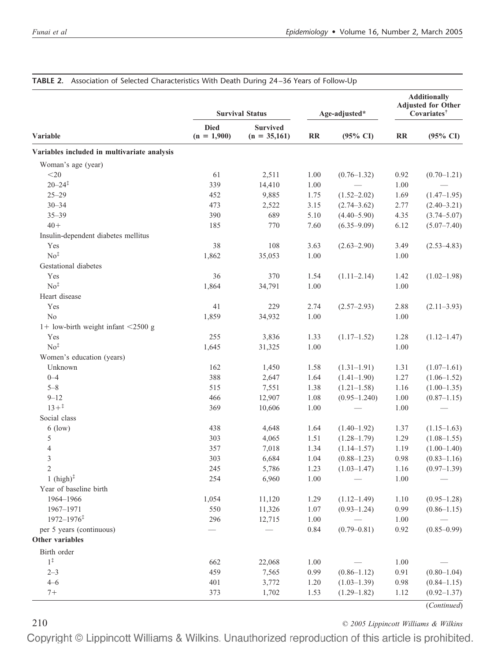|                                             |                              | <b>Survival Status</b>            | Age-adjusted* |                     | <b>Additionally</b><br><b>Adjusted for Other</b><br>Covariates <sup>†</sup> |                     |
|---------------------------------------------|------------------------------|-----------------------------------|---------------|---------------------|-----------------------------------------------------------------------------|---------------------|
| Variable                                    | <b>Died</b><br>$(n = 1,900)$ | <b>Survived</b><br>$(n = 35,161)$ | RR            | $(95\% \text{ CI})$ | $\mathbf{R}$                                                                | $(95\% \text{ CI})$ |
| Variables included in multivariate analysis |                              |                                   |               |                     |                                                                             |                     |
| Woman's age (year)                          |                              |                                   |               |                     |                                                                             |                     |
| $<$ 20                                      | 61                           | 2,511                             | 1.00          | $(0.76 - 1.32)$     | 0.92                                                                        | $(0.70 - 1.21)$     |
| $20 - 24$ <sup>#</sup>                      | 339                          | 14,410                            | 1.00          |                     | 1.00                                                                        |                     |
| $25 - 29$                                   | 452                          | 9,885                             | 1.75          | $(1.52 - 2.02)$     | 1.69                                                                        | $(1.47-1.95)$       |
| $30 - 34$                                   | 473                          | 2,522                             | 3.15          | $(2.74 - 3.62)$     | 2.77                                                                        | $(2.40 - 3.21)$     |
| $35 - 39$                                   | 390                          | 689                               | 5.10          | $(4.40 - 5.90)$     | 4.35                                                                        | $(3.74 - 5.07)$     |
| $40+$                                       | 185                          | 770                               | 7.60          | $(6.35 - 9.09)$     | 6.12                                                                        | $(5.07 - 7.40)$     |
| Insulin-dependent diabetes mellitus         |                              |                                   |               |                     |                                                                             |                     |
| Yes                                         | 38                           | 108                               | 3.63          | $(2.63 - 2.90)$     | 3.49                                                                        | $(2.53 - 4.83)$     |
| No <sup>‡</sup>                             | 1,862                        | 35,053                            | 1.00          |                     | 1.00                                                                        |                     |
| Gestational diabetes                        |                              |                                   |               |                     |                                                                             |                     |
| Yes                                         | 36                           | 370                               | 1.54          | $(1.11-2.14)$       | 1.42                                                                        | $(1.02 - 1.98)$     |
| No <sup>‡</sup>                             | 1,864                        | 34,791                            | 1.00          |                     | 1.00                                                                        |                     |
| Heart disease                               |                              |                                   |               |                     |                                                                             |                     |
| Yes                                         | 41                           | 229                               | 2.74          | $(2.57-2.93)$       | 2.88                                                                        | $(2.11 - 3.93)$     |
| $\rm No$                                    | 1,859                        | 34,932                            | 1.00          |                     | 1.00                                                                        |                     |
| $1+$ low-birth weight infant <2500 g        |                              |                                   |               |                     |                                                                             |                     |
| Yes                                         | 255                          | 3,836                             | 1.33          | $(1.17-1.52)$       | 1.28                                                                        | $(1.12 - 1.47)$     |
| No <sup>‡</sup>                             | 1,645                        | 31,325                            | 1.00          |                     | 1.00                                                                        |                     |
| Women's education (years)                   |                              |                                   |               |                     |                                                                             |                     |
| Unknown                                     | 162                          | 1,450                             | 1.58          | $(1.31-1.91)$       | 1.31                                                                        | $(1.07-1.61)$       |
| $0 - 4$                                     | 388                          | 2,647                             | 1.64          | $(1.41-1.90)$       | 1.27                                                                        | $(1.06 - 1.52)$     |
| $5 - 8$                                     | 515                          | 7,551                             | 1.38          | $(1.21 - 1.58)$     | 1.16                                                                        | $(1.00-1.35)$       |
| $9 - 12$                                    | 466                          | 12,907                            | 1.08          | $(0.95 - 1.240)$    | 1.00                                                                        | $(0.87 - 1.15)$     |
| $13+{}^{\ddagger}$                          | 369                          | 10,606                            | 1.00          |                     | 1.00                                                                        |                     |
| Social class                                |                              |                                   |               |                     |                                                                             |                     |
| $6$ (low)                                   | 438                          | 4,648                             | 1.64          | $(1.40-1.92)$       | 1.37                                                                        | $(1.15-1.63)$       |
| 5                                           | 303                          | 4,065                             | 1.51          | $(1.28 - 1.79)$     | 1.29                                                                        | $(1.08 - 1.55)$     |
| 4                                           | 357                          | 7,018                             | 1.34          | $(1.14 - 1.57)$     | 1.19                                                                        | $(1.00-1.40)$       |
| 3                                           | 303                          | 6,684                             | 1.04          | $(0.88 - 1.23)$     | 0.98                                                                        | $(0.83 - 1.16)$     |
| $\overline{2}$                              | 245                          | 5,786                             | 1.23          | $(1.03 - 1.47)$     | 1.16                                                                        | $(0.97-1.39)$       |
| 1 $(high)^{\ddagger}$                       | 254                          | 6,960                             | 1.00          |                     | 1.00                                                                        |                     |
| Year of baseline birth                      |                              |                                   |               |                     |                                                                             |                     |
| 1964-1966                                   | 1,054                        | 11,120                            | 1.29          | $(1.12 - 1.49)$     | 1.10                                                                        | $(0.95-1.28)$       |
| 1967-1971                                   | 550                          | 11,326                            | 1.07          | $(0.93 - 1.24)$     | 0.99                                                                        | $(0.86 - 1.15)$     |
| $1972 - 1976$ <sup>‡</sup>                  | 296                          | 12,715                            | 1.00          |                     | 1.00                                                                        |                     |
| per 5 years (continuous)                    |                              |                                   | 0.84          | $(0.79 - 0.81)$     | 0.92                                                                        | $(0.85 - 0.99)$     |
| Other variables                             |                              |                                   |               |                     |                                                                             |                     |
| Birth order                                 |                              |                                   |               |                     |                                                                             |                     |
| $1^{\ddagger}$                              | 662                          | 22,068                            | 1.00          |                     | 1.00                                                                        |                     |
| $2 - 3$                                     | 459                          | 7,565                             | 0.99          | $(0.86 - 1.12)$     | 0.91                                                                        | $(0.80 - 1.04)$     |
| $4 - 6$                                     | 401                          | 3,772                             | 1.20          | $(1.03-1.39)$       | 0.98                                                                        | $(0.84 - 1.15)$     |
| $7+$                                        | 373                          | 1,702                             | 1.53          | $(1.29-1.82)$       | 1.12                                                                        | $(0.92 - 1.37)$     |
|                                             |                              |                                   |               |                     |                                                                             | (Continued)         |

# **TABLE 2.** Association of Selected Characteristics With Death During 24 –36 Years of Follow-Up

210 *© 2005 Lippincott Williams & Wilkins*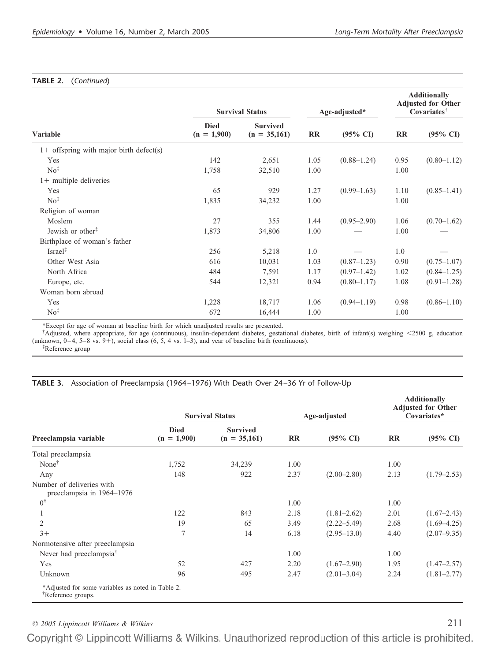# **TABLE 2.** (*Continued*)

|                                           |                              | <b>Survival Status</b>            | Age-adjusted* |                     | <b>Additionally</b><br><b>Adjusted for Other</b><br>Covariates <sup>†</sup> |                     |
|-------------------------------------------|------------------------------|-----------------------------------|---------------|---------------------|-----------------------------------------------------------------------------|---------------------|
| Variable                                  | <b>Died</b><br>$(n = 1,900)$ | <b>Survived</b><br>$(n = 35,161)$ | RR            | $(95\% \text{ CI})$ | <b>RR</b>                                                                   | $(95\% \text{ CI})$ |
| $1+$ offspring with major birth defect(s) |                              |                                   |               |                     |                                                                             |                     |
| Yes                                       | 142                          | 2,651                             | 1.05          | $(0.88 - 1.24)$     | 0.95                                                                        | $(0.80 - 1.12)$     |
| No <sup>‡</sup>                           | 1,758                        | 32,510                            | 1.00          |                     | 1.00                                                                        |                     |
| $1+$ multiple deliveries                  |                              |                                   |               |                     |                                                                             |                     |
| Yes                                       | 65                           | 929                               | 1.27          | $(0.99-1.63)$       | 1.10                                                                        | $(0.85-1.41)$       |
| No <sup>‡</sup>                           | 1,835                        | 34,232                            | 1.00          |                     | 1.00                                                                        |                     |
| Religion of woman                         |                              |                                   |               |                     |                                                                             |                     |
| Moslem                                    | 27                           | 355                               | 1.44          | $(0.95 - 2.90)$     | 1.06                                                                        | $(0.70-1.62)$       |
| Jewish or other <sup>#</sup>              | 1,873                        | 34,806                            | 1.00          |                     | 1.00                                                                        |                     |
| Birthplace of woman's father              |                              |                                   |               |                     |                                                                             |                     |
| $Israel^{\ddagger}$                       | 256                          | 5,218                             | 1.0           |                     | 1.0                                                                         |                     |
| Other West Asia                           | 616                          | 10,031                            | 1.03          | $(0.87 - 1.23)$     | 0.90                                                                        | $(0.75 - 1.07)$     |
| North Africa                              | 484                          | 7,591                             | 1.17          | $(0.97-1.42)$       | 1.02                                                                        | $(0.84 - 1.25)$     |
| Europe, etc.                              | 544                          | 12,321                            | 0.94          | $(0.80 - 1.17)$     | 1.08                                                                        | $(0.91 - 1.28)$     |
| Woman born abroad                         |                              |                                   |               |                     |                                                                             |                     |
| Yes                                       | 1,228                        | 18,717                            | 1.06          | $(0.94 - 1.19)$     | 0.98                                                                        | $(0.86 - 1.10)$     |
| No <sup>‡</sup>                           | 672                          | 16,444                            | 1.00          |                     | 1.00                                                                        |                     |

\*Except for age of woman at baseline birth for which unadjusted results are presented.

† Adjusted, where appropriate, for age (continuous), insulin-dependent diabetes, gestational diabetes, birth of infant(s) weighing 2500 g, education (unknown,  $0-4$ ,  $5-8$  vs.  $9+$ ), social class  $(6, 5, 4$  vs.  $1-3)$ , and year of baseline birth (continuous).

‡ Reference group

#### **TABLE 3.** Association of Preeclampsia (1964 –1976) With Death Over 24 –36 Yr of Follow-Up

|                                                        |                              | <b>Survival Status</b>            | Age-adjusted |                     | <b>Additionally</b><br><b>Adjusted for Other</b><br>Covariates* |                     |
|--------------------------------------------------------|------------------------------|-----------------------------------|--------------|---------------------|-----------------------------------------------------------------|---------------------|
| Preeclampsia variable                                  | <b>Died</b><br>$(n = 1,900)$ | <b>Survived</b><br>$(n = 35,161)$ | RR           | $(95\% \text{ CI})$ | $\mathbf{R}$                                                    | $(95\% \text{ CI})$ |
| Total preeclampsia                                     |                              |                                   |              |                     |                                                                 |                     |
| None $†$                                               | 1,752                        | 34,239                            | 1.00         |                     | 1.00                                                            |                     |
| Any                                                    | 148                          | 922                               | 2.37         | $(2.00-2.80)$       | 2.13                                                            | $(1.79 - 2.53)$     |
| Number of deliveries with<br>preeclampsia in 1964-1976 |                              |                                   |              |                     |                                                                 |                     |
| $0^{\dagger}$                                          |                              |                                   | 1.00         |                     | 1.00                                                            |                     |
|                                                        | 122                          | 843                               | 2.18         | $(1.81 - 2.62)$     | 2.01                                                            | $(1.67 - 2.43)$     |
| $\overline{c}$                                         | 19                           | 65                                | 3.49         | $(2.22 - 5.49)$     | 2.68                                                            | $(1.69 - 4.25)$     |
| $3+$                                                   | $\overline{7}$               | 14                                | 6.18         | $(2.95 - 13.0)$     | 4.40                                                            | $(2.07 - 9.35)$     |
| Normotensive after preeclampsia                        |                              |                                   |              |                     |                                                                 |                     |
| Never had preeclampsia <sup>T</sup>                    |                              |                                   | 1.00         |                     | 1.00                                                            |                     |
| Yes                                                    | 52                           | 427                               | 2.20         | $(1.67 - 2.90)$     | 1.95                                                            | $(1.47 - 2.57)$     |
| Unknown                                                | 96                           | 495                               | 2.47         | $(2.01 - 3.04)$     | 2.24                                                            | $(1.81 - 2.77)$     |

*© 2005 Lippincott Williams & Wilkins* 211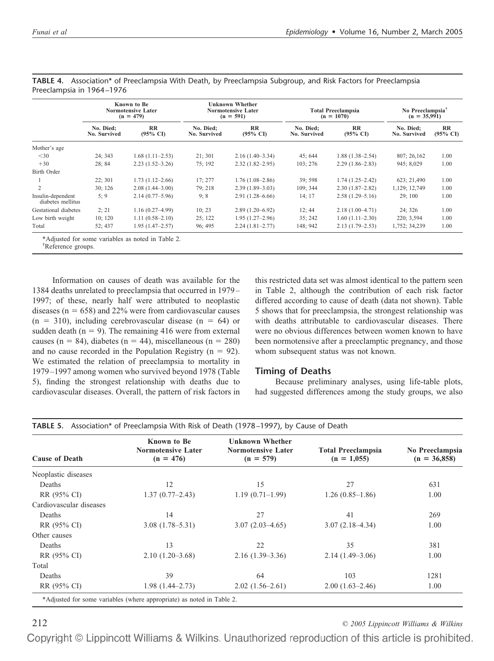|                                        |                           | Known to Be<br><b>Normotensive Later</b><br>$(n = 479)$ | <b>Unknown Whether</b><br><b>Normotensive Later</b><br>$(n = 591)$ |                           | <b>Total Preeclampsia</b><br>$(n = 1070)$ |                           | No Preeclampsia <sup>†</sup><br>$(n = 35,991)$ |                                     |
|----------------------------------------|---------------------------|---------------------------------------------------------|--------------------------------------------------------------------|---------------------------|-------------------------------------------|---------------------------|------------------------------------------------|-------------------------------------|
|                                        | No. Died:<br>No. Survived | RR<br>$(95\% \text{ CI})$                               | No. Died:<br><b>No. Survived</b>                                   | RR<br>$(95\% \text{ C}I)$ | No. Died:<br>No. Survived                 | RR<br>$(95\% \text{ CI})$ | No. Died:<br>No. Survived                      | $\mathbf{R}$<br>$(95\% \text{ C}I)$ |
| Mother's age                           |                           |                                                         |                                                                    |                           |                                           |                           |                                                |                                     |
| $<$ 30                                 | 24: 343                   | $1.68(1.11-2.53)$                                       | 21:301                                                             | $2.16(1.40-3.34)$         | 45: 644                                   | $1.88(1.38 - 2.54)$       | 807; 26,162                                    | 1.00                                |
| $+30$                                  | 28; 84                    | $2.23(1.52 - 3.26)$                                     | 75; 192                                                            | $2.32(1.82 - 2.95)$       | 103: 276                                  | $2.29(1.86 - 2.83)$       | 945: 8.029                                     | 1.00                                |
| Birth Order                            |                           |                                                         |                                                                    |                           |                                           |                           |                                                |                                     |
|                                        | 22: 301                   | $1.73(1.12-2.66)$                                       | 17:277                                                             | $1.76(1.08-2.86)$         | 39:598                                    | $1.74(1.25-2.42)$         | 623; 21,490                                    | 1.00                                |
| $\overline{c}$                         | 30:126                    | $2.08(1.44 - 3.00)$                                     | 79:218                                                             | $2.39(1.89-3.03)$         | 109; 344                                  | $2.30(1.87-2.82)$         | 1,129; 12,749                                  | 1.00                                |
| Insulin-dependent<br>diabetes mellitus | 5;9                       | $2.14(0.77-5.96)$                                       | 9:8                                                                | $2.91(1.28 - 6.66)$       | 14:17                                     | $2.58(1.29 - 5.16)$       | 29:100                                         | 1.00                                |
| Gestational diabetes                   | 2:21                      | $1.16(0.27 - 4.99)$                                     | 10; 23                                                             | $2.89(1.20-6.92)$         | 12:44                                     | $2.18(1.00-4.71)$         | 24: 326                                        | 1.00                                |
| Low birth weight                       | 10:120                    | $1.11(0.58 - 2.10)$                                     | 25; 122                                                            | $1.95(1.27-2.96)$         | 35: 242                                   | $1.60(1.11-2.30)$         | 220; 3,594                                     | 1.00                                |
| Total                                  | 52; 437                   | $1.95(1.47 - 2.57)$                                     | 96; 495                                                            | $2.24(1.81 - 2.77)$       | 148; 942                                  | $2.13(1.79-2.53)$         | 1,752; 34,239                                  | 1.00                                |

**TABLE 4.** Association\* of Preeclampsia With Death, by Preeclampsia Subgroup, and Risk Factors for Preeclampsia Preeclampsia in 1964 –1976

\*Adjusted for some variables as noted in Table 2.

† Reference groups.

Information on causes of death was available for the 1384 deaths unrelated to preeclampsia that occurred in 1979– 1997; of these, nearly half were attributed to neoplastic diseases ( $n = 658$ ) and 22% were from cardiovascular causes  $(n = 310)$ , including cerebrovascular disease  $(n = 64)$  or sudden death ( $n = 9$ ). The remaining 416 were from external causes (n = 84), diabetes (n = 44), miscellaneous (n = 280) and no cause recorded in the Population Registry ( $n = 92$ ). We estimated the relation of preeclampsia to mortality in 1979–1997 among women who survived beyond 1978 (Table 5), finding the strongest relationship with deaths due to cardiovascular diseases. Overall, the pattern of risk factors in this restricted data set was almost identical to the pattern seen in Table 2, although the contribution of each risk factor differed according to cause of death (data not shown). Table 5 shows that for preeclampsia, the strongest relationship was with deaths attributable to cardiovascular diseases. There were no obvious differences between women known to have been normotensive after a preeclamptic pregnancy, and those whom subsequent status was not known.

# **Timing of Deaths**

Because preliminary analyses, using life-table plots, had suggested differences among the study groups, we also

| <b>Cause of Death</b>   | <b>Known to Be</b><br><b>Normotensive Later</b><br>$(n = 476)$ | <b>Unknown Whether</b><br><b>Normotensive Later</b><br>$(n = 579)$ | <b>Total Preeclampsia</b><br>$(n = 1,055)$ | No Preeclampsia<br>$(n = 36,858)$ |
|-------------------------|----------------------------------------------------------------|--------------------------------------------------------------------|--------------------------------------------|-----------------------------------|
| Neoplastic diseases     |                                                                |                                                                    |                                            |                                   |
| Deaths                  | 12                                                             | 15                                                                 | 27                                         | 631                               |
| RR (95% CI)             | $1.37(0.77-2.43)$                                              | $1.19(0.71-1.99)$                                                  | $1.26(0.85-1.86)$                          | 1.00                              |
| Cardiovascular diseases |                                                                |                                                                    |                                            |                                   |
| Deaths                  | 14                                                             | 27                                                                 | 41                                         | 269                               |
| RR (95% CI)             | $3.08(1.78 - 5.31)$                                            | $3.07(2.03-4.65)$                                                  | $3.07(2.18-4.34)$                          | 1.00                              |
| Other causes            |                                                                |                                                                    |                                            |                                   |
| Deaths                  | 13                                                             | 22                                                                 | 35                                         | 381                               |
| RR (95% CI)             | $2.10(1.20-3.68)$                                              | $2.16(1.39-3.36)$                                                  | $2.14(1.49-3.06)$                          | 1.00                              |
| Total                   |                                                                |                                                                    |                                            |                                   |
| Deaths                  | 39                                                             | 64                                                                 | 103                                        | 1281                              |
| RR (95% CI)             | $1.98(1.44 - 2.73)$                                            | $2.02(1.56-2.61)$                                                  | $2.00(1.63-2.46)$                          | 1.00                              |

212 *© 2005 Lippincott Williams & Wilkins*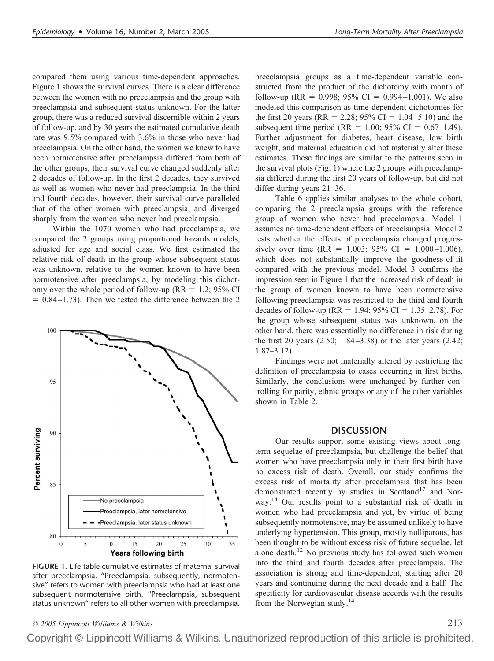compared them using various time-dependent approaches. Figure 1 shows the survival curves. There is a clear difference between the women with no preeclampsia and the group with preeclampsia and subsequent status unknown. For the latter group, there was a reduced survival discernible within 2 years of follow-up, and by 30 years the estimated cumulative death rate was 9.5% compared with 3.6% in those who never had preeclampsia. On the other hand, the women we knew to have been normotensive after preeclampsia differed from both of the other groups; their survival curve changed suddenly after 2 decades of follow-up. In the first 2 decades, they survived as well as women who never had preeclampsia. In the third and fourth decades, however, their survival curve paralleled that of the other women with preeclampsia, and diverged sharply from the women who never had preeclampsia.

Within the 1070 women who had preeclampsia, we compared the 2 groups using proportional hazards models, adjusted for age and social class. We first estimated the relative risk of death in the group whose subsequent status was unknown, relative to the women known to have been normotensive after preeclampsia, by modeling this dichotomy over the whole period of follow-up ( $RR = 1.2$ ; 95% CI  $= 0.84 - 1.73$ ). Then we tested the difference between the 2



**FIGURE 1.** Life table cumulative estimates of maternal survival after preeclampsia. "Preeclampsia, subsequently, normotensive" refers to women with preeclampsia who had at least one subsequent normotensive birth. "Preeclampsia, subsequent status unknown" refers to all other women with preeclampsia.

preeclampsia groups as a time-dependent variable constructed from the product of the dichotomy with month of follow-up (RR = 0.998; 95% CI = 0.994–1.001). We also modeled this comparison as time-dependent dichotomies for the first 20 years (RR = 2.28; 95% CI = 1.04–5.10) and the subsequent time period (RR = 1.00; 95% CI = 0.67–1.49). Further adjustment for diabetes, heart disease, low birth weight, and maternal education did not materially alter these estimates. These findings are similar to the patterns seen in the survival plots (Fig. 1) where the 2 groups with preeclampsia differed during the first 20 years of follow-up, but did not differ during years 21–36.

Table 6 applies similar analyses to the whole cohort, comparing the 2 preeclampsia groups with the reference group of women who never had preeclampsia. Model 1 assumes no time-dependent effects of preeclampsia. Model 2 tests whether the effects of preeclampsia changed progressively over time (RR = 1.003; 95% CI = 1.000–1.006), which does not substantially improve the goodness-of-fit compared with the previous model. Model 3 confirms the impression seen in Figure 1 that the increased risk of death in the group of women known to have been normotensive following preeclampsia was restricted to the third and fourth decades of follow-up (RR = 1.94; 95% CI = 1.35–2.78). For the group whose subsequent status was unknown, on the other hand, there was essentially no difference in risk during the first 20 years (2.50; 1.84–3.38) or the later years (2.42; 1.87–3.12).

Findings were not materially altered by restricting the definition of preeclampsia to cases occurring in first births. Similarly, the conclusions were unchanged by further controlling for parity, ethnic groups or any of the other variables shown in Table 2.

#### **DISCUSSION**

Our results support some existing views about longterm sequelae of preeclampsia, but challenge the belief that women who have preeclampsia only in their first birth have no excess risk of death. Overall, our study confirms the excess risk of mortality after preeclampsia that has been demonstrated recently by studies in Scotland<sup>17</sup> and Norway.<sup>14</sup> Our results point to a substantial risk of death in women who had preeclampsia and yet, by virtue of being subsequently normotensive, may be assumed unlikely to have underlying hypertension. This group, mostly nulliparous, has been thought to be without excess risk of future sequelae, let alone death.<sup>12</sup> No previous study has followed such women into the third and fourth decades after preeclampsia. The association is strong and time-dependent, starting after 20 years and continuing during the next decade and a half. The specificity for cardiovascular disease accords with the results from the Norwegian study.<sup>14</sup>

*© 2005 Lippincott Williams & Wilkins* 213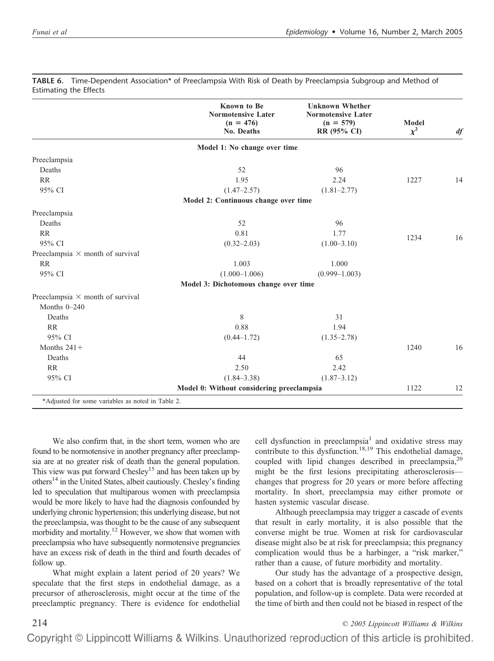|                                         | <b>Known</b> to Be<br><b>Normotensive Later</b><br>$(n = 476)$<br>No. Deaths | <b>Unknown Whether</b><br><b>Normotensive Later</b><br>$(n = 579)$<br>RR (95% CI) | Model<br>$\chi^2$ | df |
|-----------------------------------------|------------------------------------------------------------------------------|-----------------------------------------------------------------------------------|-------------------|----|
|                                         | Model 1: No change over time                                                 |                                                                                   |                   |    |
| Preeclampsia                            |                                                                              |                                                                                   |                   |    |
| Deaths                                  | 52                                                                           | 96                                                                                |                   |    |
| <b>RR</b>                               | 1.95                                                                         | 2.24                                                                              | 1227              | 14 |
| 95% CI                                  | $(1.47 - 2.57)$                                                              | $(1.81 - 2.77)$                                                                   |                   |    |
|                                         | Model 2: Continuous change over time                                         |                                                                                   |                   |    |
| Preeclampsia                            |                                                                              |                                                                                   |                   |    |
| Deaths                                  | 52                                                                           | 96                                                                                |                   |    |
| <b>RR</b>                               | 0.81                                                                         | 1.77                                                                              | 1234              | 16 |
| 95% CI                                  | $(0.32 - 2.03)$                                                              | $(1.00 - 3.10)$                                                                   |                   |    |
| Preeclampsia $\times$ month of survival |                                                                              |                                                                                   |                   |    |
| <b>RR</b>                               | 1.003                                                                        | 1.000                                                                             |                   |    |
| 95% CI                                  | $(1.000 - 1.006)$                                                            | $(0.999 - 1.003)$                                                                 |                   |    |
|                                         | Model 3: Dichotomous change over time                                        |                                                                                   |                   |    |
| Preeclampsia $\times$ month of survival |                                                                              |                                                                                   |                   |    |
| Months $0-240$                          |                                                                              |                                                                                   |                   |    |
| Deaths                                  | 8                                                                            | 31                                                                                |                   |    |
| <b>RR</b>                               | 0.88                                                                         | 1.94                                                                              |                   |    |
| 95% CI                                  | $(0.44 - 1.72)$                                                              | $(1.35 - 2.78)$                                                                   |                   |    |
| Months $241+$                           |                                                                              |                                                                                   | 1240              | 16 |
| Deaths                                  | 44                                                                           | 65                                                                                |                   |    |
| <b>RR</b>                               | 2.50                                                                         | 2.42                                                                              |                   |    |
| 95% CI                                  | $(1.84 - 3.38)$                                                              | $(1.87 - 3.12)$                                                                   |                   |    |
|                                         | Model 0: Without considering preeclampsia                                    |                                                                                   | 1122              | 12 |

**TABLE 6.** Time-Dependent Association\* of Preeclampsia With Risk of Death by Preeclampsia Subgroup and Method of Estimating the Effects

We also confirm that, in the short term, women who are found to be normotensive in another pregnancy after preeclampsia are at no greater risk of death than the general population. This view was put forward Chesley<sup>15</sup> and has been taken up by others14 in the United States, albeit cautiously. Chesley's finding led to speculation that multiparous women with preeclampsia would be more likely to have had the diagnosis confounded by underlying chronic hypertension; this underlying disease, but not the preeclampsia, was thought to be the cause of any subsequent morbidity and mortality.12 However, we show that women with preeclampsia who have subsequently normotensive pregnancies have an excess risk of death in the third and fourth decades of follow up.

What might explain a latent period of 20 years? We speculate that the first steps in endothelial damage, as a precursor of atherosclerosis, might occur at the time of the preeclamptic pregnancy. There is evidence for endothelial cell dysfunction in preeclampsia<sup>1</sup> and oxidative stress may contribute to this dysfunction.<sup>18,19</sup> This endothelial damage, coupled with lipid changes described in preeclampsia, $2^{0}$ might be the first lesions precipitating atherosclerosis changes that progress for 20 years or more before affecting mortality. In short, preeclampsia may either promote or hasten systemic vascular disease.

Although preeclampsia may trigger a cascade of events that result in early mortality, it is also possible that the converse might be true. Women at risk for cardiovascular disease might also be at risk for preeclampsia; this pregnancy complication would thus be a harbinger, a "risk marker," rather than a cause, of future morbidity and mortality.

Our study has the advantage of a prospective design, based on a cohort that is broadly representative of the total population, and follow-up is complete. Data were recorded at the time of birth and then could not be biased in respect of the

214 *© 2005 Lippincott Williams & Wilkins*